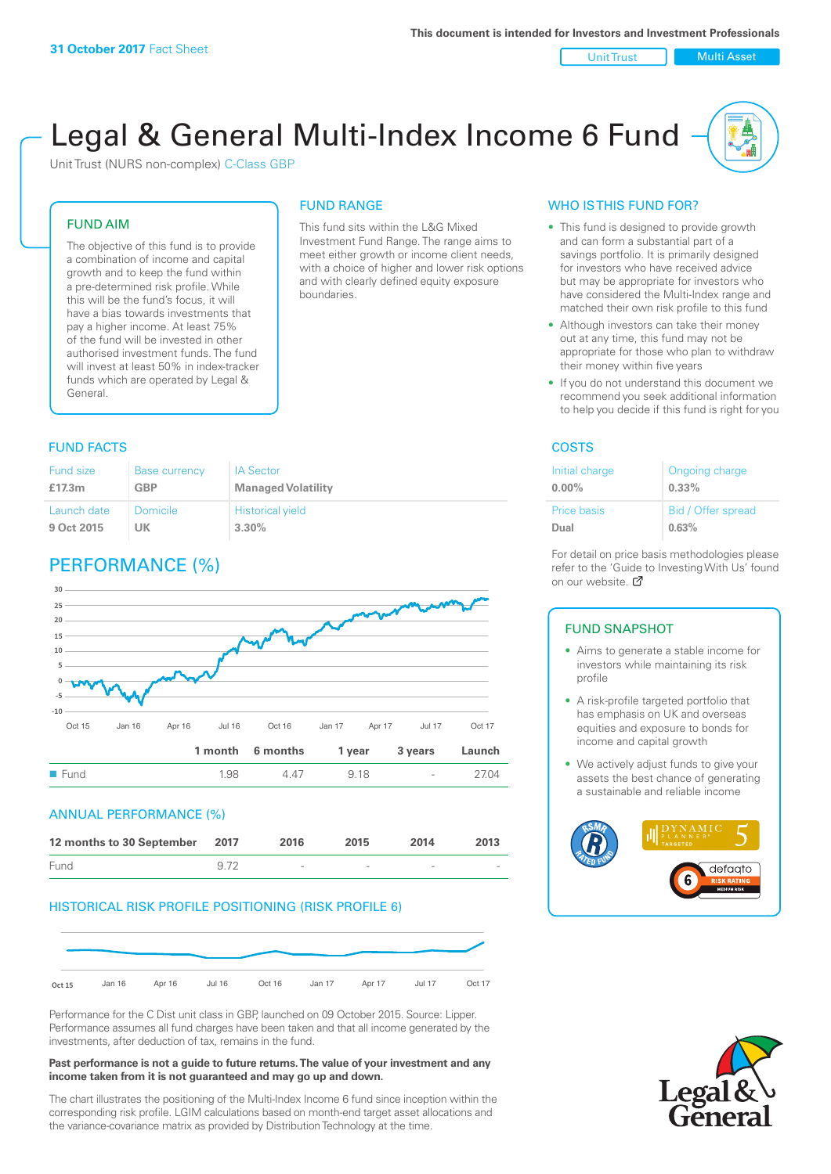Unit Trust | Multi Asset

# Legal & General Multi-Index Income 6 Fund

This fund sits within the L&G Mixed Investment Fund Range. The range aims to meet either growth or income client needs, with a choice of higher and lower risk options and with clearly defined equity exposure

FUND RANGE

boundaries.

Unit Trust (NURS non-complex) C-Class GBP

#### FUND AIM

The objective of this fund is to provide a combination of income and capital growth and to keep the fund within a pre-determined risk profile. While this will be the fund's focus, it will have a bias towards investments that pay a higher income. At least 75% of the fund will be invested in other authorised investment funds. The fund will invest at least 50% in index-tracker funds which are operated by Legal & General.

#### **FUND FACTS** COSTS

| Fund size   | <b>Base currency</b> | <b>IA Sector</b>          |
|-------------|----------------------|---------------------------|
| £17.3m      | <b>GBP</b>           | <b>Managed Volatility</b> |
| Launch date | Domicile             | <b>Historical yield</b>   |
| 9 Oct 2015  | UΚ                   | $3.30\%$                  |

# PERFORMANCE (%)



#### ANNUAL PERFORMANCE (%)

| 12 months to 30 September 2017 |      | 2016                     | 2015   | 2014                     | 2013                     |
|--------------------------------|------|--------------------------|--------|--------------------------|--------------------------|
| Fund                           | 9.72 | $\overline{\phantom{a}}$ | $\sim$ | $\overline{\phantom{a}}$ | $\overline{\phantom{a}}$ |

#### HISTORICAL RISK PROFILE POSITIONING (RISK PROFILE 6)



Performance for the C Dist unit class in GBP, launched on 09 October 2015. Source: Lipper. Performance assumes all fund charges have been taken and that all income generated by the investments, after deduction of tax, remains in the fund.

#### **Past performance is not a guide to future returns. The value of your investment and any income taken from it is not guaranteed and may go up and down.**

The chart illustrates the positioning of the Multi-Index Income 6 fund since inception within the corresponding risk profile. LGIM calculations based on month-end target asset allocations and the variance-covariance matrix as provided by Distribution Technology at the time.

#### WHO IS THIS FUND FOR?

- This fund is designed to provide growth and can form a substantial part of a savings portfolio. It is primarily designed for investors who have received advice but may be appropriate for investors who have considered the Multi-Index range and matched their own risk profile to this fund
- Although investors can take their money out at any time, this fund may not be appropriate for those who plan to withdraw their money within five years
- If you do not understand this document we recommend you seek additional information to help you decide if this fund is right for you

| Initial charge     | Ongoing charge     |
|--------------------|--------------------|
| $0.00\%$           | 0.33%              |
| <b>Price basis</b> | Bid / Offer spread |
| Dual               | 0.63%              |

For detail on price basis methodologies please refer to the 'Gu[ide t](http://www.legalandgeneral.com/guide)o Investing With Us' found on our website. Ø

#### FUND SNAPSHOT

- Aims to generate a stable income for investors while maintaining its risk profile
- A risk-profile targeted portfolio that has emphasis on UK and overseas equities and exposure to bonds for income and capital growth
- We actively adjust funds to give your assets the best chance of generating a sustainable and reliable income



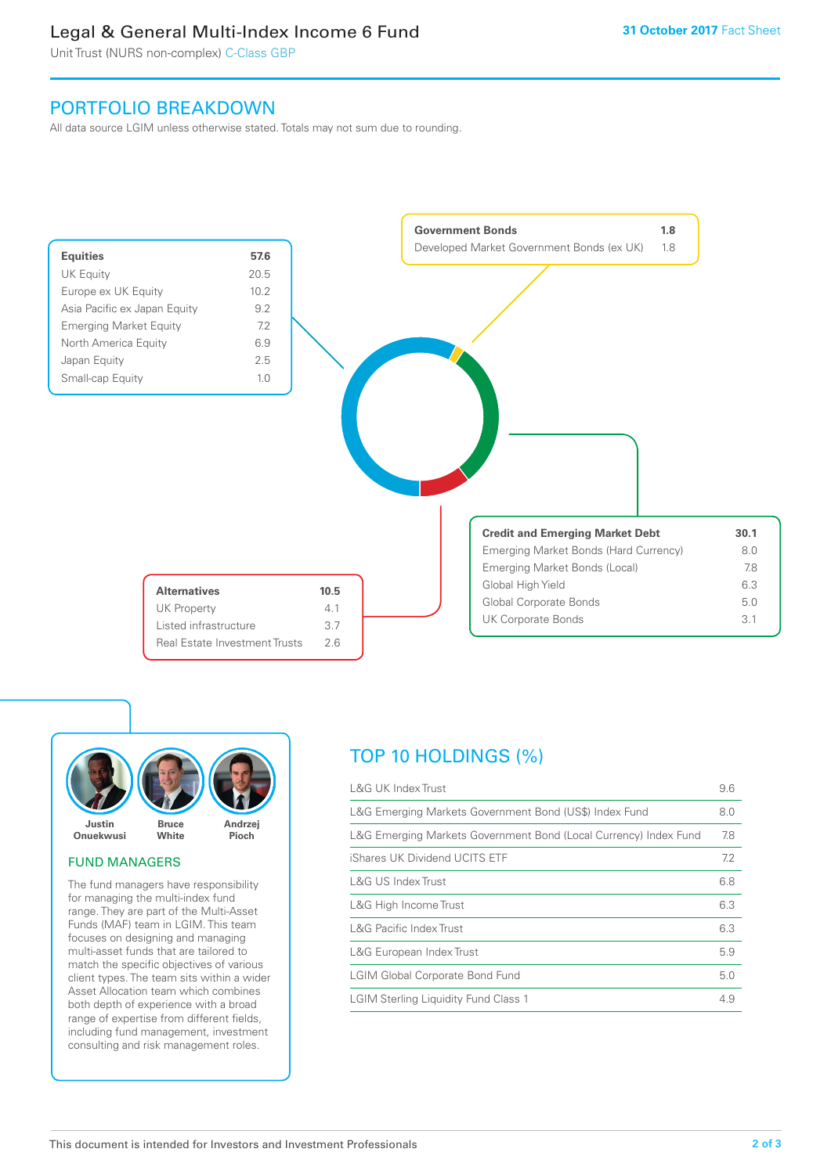# Legal & General Multi-Index Income 6 Fund

Unit Trust (NURS non-complex) C-Class GBP

## PORTFOLIO BREAKDOWN

All data source LGIM unless otherwise stated. Totals may not sum due to rounding.





#### FUND MANAGERS

The fund managers have responsibility for managing the multi-index fund range. They are part of the Multi-Asset Funds (MAF) team in LGIM. This team focuses on designing and managing multi-asset funds that are tailored to match the specific objectives of various client types. The team sits within a wider Asset Allocation team which combines both depth of experience with a broad range of expertise from different fields, including fund management, investment consulting and risk management roles.

# TOP 10 HOLDINGS (%)

| <b>L&amp;G UK Index Trust</b>                                    | 9.6 |
|------------------------------------------------------------------|-----|
| L&G Emerging Markets Government Bond (US\$) Index Fund           | 8.0 |
| L&G Emerging Markets Government Bond (Local Currency) Index Fund | 7.8 |
| iShares UK Dividend UCITS ETF                                    | 7.2 |
| L&G US Index Trust                                               | 6.8 |
| L&G High Income Trust                                            | 6.3 |
| <b>L&amp;G Pacific Index Trust</b>                               | 6.3 |
| L&G European Index Trust                                         | 5.9 |
| <b>LGIM Global Corporate Bond Fund</b>                           | 5.0 |
| <b>LGIM Sterling Liquidity Fund Class 1</b>                      | 4.9 |